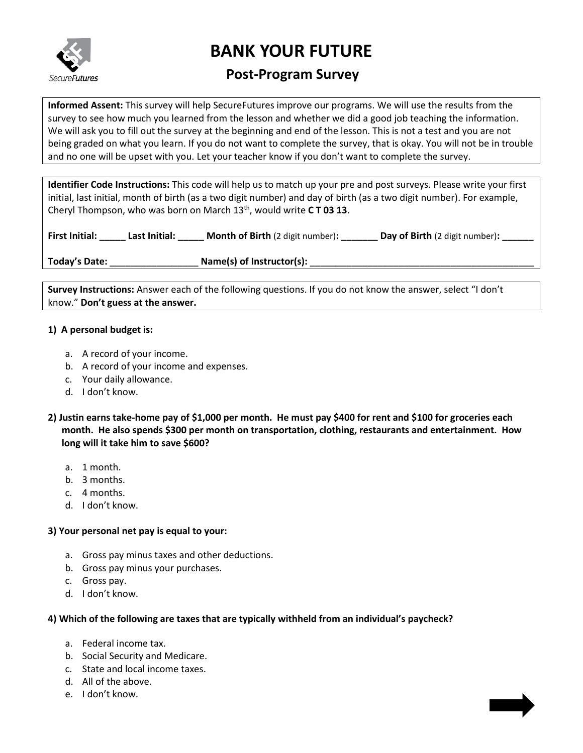

# **BANK YOUR FUTURE**

# **Post-Program Survey**

**Informed Assent:** This survey will help SecureFutures improve our programs. We will use the results from the survey to see how much you learned from the lesson and whether we did a good job teaching the information. We will ask you to fill out the survey at the beginning and end of the lesson. This is not a test and you are not being graded on what you learn. If you do not want to complete the survey, that is okay. You will not be in trouble and no one will be upset with you. Let your teacher know if you don't want to complete the survey.

**Identifier Code Instructions:** This code will help us to match up your pre and post surveys. Please write your first initial, last initial, month of birth (as a two digit number) and day of birth (as a two digit number). For example, Cheryl Thompson, who was born on March 13<sup>th</sup>, would write **CT03 13**.

| <b>First Initial:</b> | Last Initial: | <b>Month of Birth</b> (2 digit number): | Day of Birth (2 digit number): |
|-----------------------|---------------|-----------------------------------------|--------------------------------|
|-----------------------|---------------|-----------------------------------------|--------------------------------|

**Today's Date:** \_\_\_\_\_\_\_\_\_\_\_\_\_\_\_\_\_ **Name(s) of Instructor(s):** \_\_\_\_\_\_\_\_\_\_\_\_\_\_\_\_\_\_\_\_\_\_\_\_\_\_\_\_\_\_\_\_\_\_\_\_\_\_\_\_\_\_\_

**Survey Instructions:** Answer each of the following questions. If you do not know the answer, select "I don't know." **Don't guess at the answer.**

# **1) A personal budget is:**

- a. A record of your income.
- b. A record of your income and expenses.
- c. Your daily allowance.
- d. I don't know.
- **2) Justin earns take-home pay of \$1,000 per month. He must pay \$400 for rent and \$100 for groceries each month. He also spends \$300 per month on transportation, clothing, restaurants and entertainment. How long will it take him to save \$600?**
	- a. 1 month.
	- b. 3 months.
	- c. 4 months.
	- d. I don't know.

### **3) Your personal net pay is equal to your:**

- a. Gross pay minus taxes and other deductions.
- b. Gross pay minus your purchases.
- c. Gross pay.
- d. I don't know.

### **4) Which of the following are taxes that are typically withheld from an individual's paycheck?**

- a. Federal income tax.
- b. Social Security and Medicare.
- c. State and local income taxes.
- d. All of the above.
- e. I don't know.